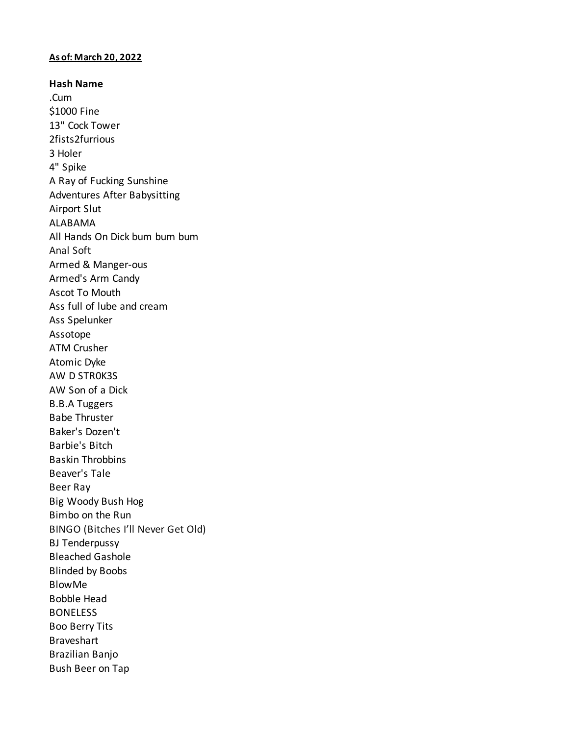## **As of: March 20, 2022**

**Hash Name** .Cum \$1000 Fine 13" Cock Tower 2fists2furrious 3 Holer 4" Spike A Ray of Fucking Sunshine Adventures After Babysitting Airport Slut ALABAMA All Hands On Dick bum bum bum Anal Soft Armed & Manger-ous Armed's Arm Candy Ascot To Mouth Ass full of lube and cream Ass Spelunker Assotope ATM Crusher Atomic Dyke AW D STR0K3S AW Son of a Dick B.B.A Tuggers Babe Thruster Baker's Dozen't Barbie's Bitch Baskin Throbbins Beaver's Tale Beer Ray Big Woody Bush Hog Bimbo on the Run BINGO (Bitches I'll Never Get Old) BJ Tenderpussy Bleached Gashole Blinded by Boobs BlowMe Bobble Head **BONELESS** Boo Berry Tits Braveshart Brazilian Banjo Bush Beer on Tap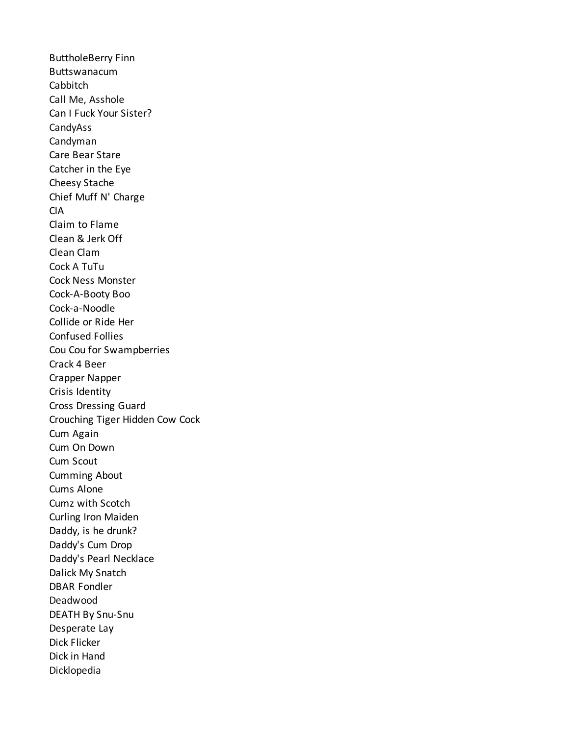ButtholeBerry Finn Buttswanacum Cabbitch Call Me, Asshole Can I Fuck Your Sister? CandyAss Candyman Care Bear Stare Catcher in the Eye Cheesy Stache Chief Muff N' Charge CIA Claim to Flame Clean & Jerk Off Clean Clam Cock A TuTu Cock Ness Monster Cock-A-Booty Boo Cock-a-Noodle Collide or Ride Her Confused Follies Cou Cou for Swampberries Crack 4 Beer Crapper Napper Crisis Identity Cross Dressing Guard Crouching Tiger Hidden Cow Cock Cum Again Cum On Down Cum Scout Cumming About Cums Alone Cumz with Scotch Curling Iron Maiden Daddy, is he drunk? Daddy's Cum Drop Daddy's Pearl Necklace Dalick My Snatch DBAR Fondler Deadwood DEATH By Snu-Snu Desperate Lay Dick Flicker Dick in Hand Dicklopedia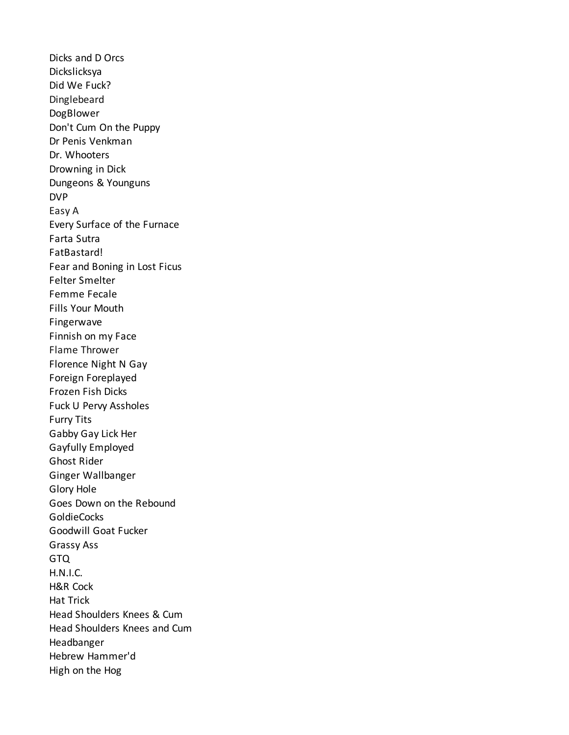Dicks and D Orcs Dickslicksya Did We Fuck? Dinglebeard DogBlower Don't Cum On the Puppy Dr Penis Venkman Dr. Whooters Drowning in Dick Dungeons & Younguns DVP Easy A Every Surface of the Furnace Farta Sutra FatBastard! Fear and Boning in Lost Ficus Felter Smelter Femme Fecale Fills Your Mouth Fingerwave Finnish on my Face Flame Thrower Florence Night N Gay Foreign Foreplayed Frozen Fish Dicks Fuck U Pervy Assholes Furry Tits Gabby Gay Lick Her Gayfully Employed Ghost Rider Ginger Wallbanger Glory Hole Goes Down on the Rebound **GoldieCocks** Goodwill Goat Fucker Grassy Ass GTQ H.N.I.C. H&R Cock Hat Trick Head Shoulders Knees & Cum Head Shoulders Knees and Cum Headbanger Hebrew Hammer'd High on the Hog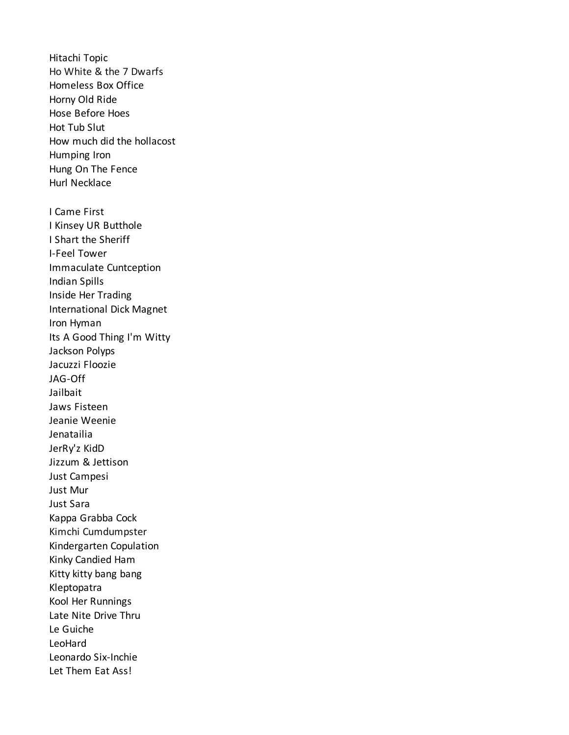Hitachi Topic Ho White & the 7 Dwarfs Homeless Box Office Horny Old Ride Hose Before Hoes Hot Tub Slut How much did the hollacost Humping Iron Hung On The Fence Hurl Necklace I Came First I Kinsey UR Butthole I Shart the Sheriff I-Feel Tower Immaculate Cuntception Indian Spills Inside Her Trading International Dick Magnet Iron Hyman Its A Good Thing I'm Witty Jackson Polyps Jacuzzi Floozie JAG-Off Jailbait Jaws Fisteen Jeanie Weenie Jenatailia JerRy'z KidD Jizzum & Jettison Just Campesi Just Mur Just Sara Kappa Grabba Cock Kimchi Cumdumpster Kindergarten Copulation Kinky Candied Ham Kitty kitty bang bang Kleptopatra Kool Her Runnings Late Nite Drive Thru Le Guiche LeoHard Leonardo Six-Inchie Let Them Eat Ass!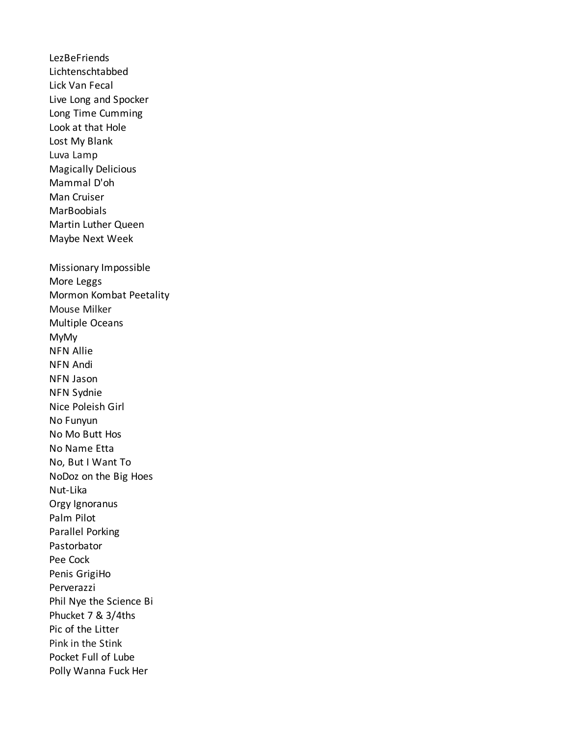**LezBeFriends** Lichtenschtabbed Lick Van Fecal Live Long and Spocker Long Time Cumming Look at that Hole Lost My Blank Luva Lamp **Magically Delicious** Mammal D'oh Man Cruiser **MarBoobials** Martin Luther Queen Maybe Next Week Missionary Impossible More Leggs Mormon Kombat Peetality Mouse Milker Multiple Oceans **MyMy NFN Allie NFN Andi** NFN Jason NFN Sydnie Nice Poleish Girl No Funyun No Mo Butt Hos No Name Etta No, But I Want To NoDoz on the Big Hoes Nut-Lika Orgy Ignoranus Palm Pilot Parallel Porking Pastorbator Pee Cock Penis GrigiHo Perverazzi Phil Nye the Science Bi Phucket 7 & 3/4ths Pic of the Litter Pink in the Stink Pocket Full of Lube Polly Wanna Fuck Her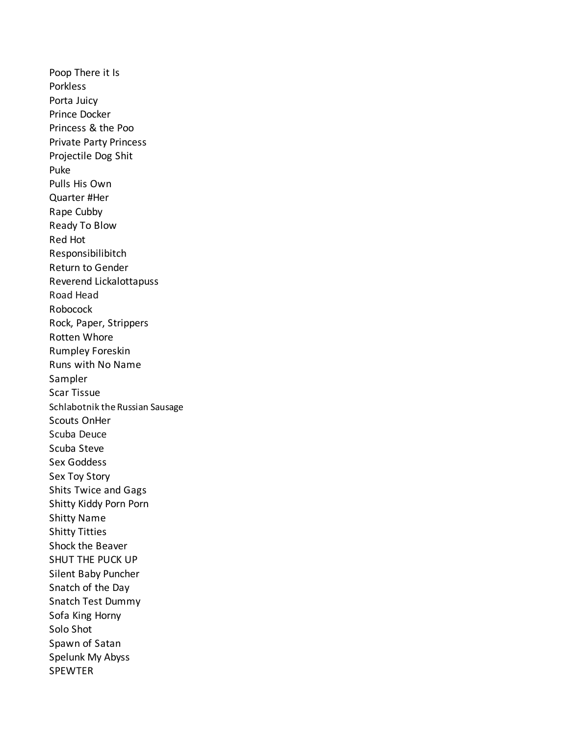Poop There it Is **Porkless** Porta Juicy Prince Docker Princess & the Poo Private Party Princess Projectile Dog Shit Puke Pulls His Own Quarter #Her Rape Cubby Ready To Blow Red Hot Responsibilibitch Return to Gender Reverend Lickalottapuss Road Head Robocock Rock, Paper, Strippers Rotten Whore Rumpley Foreskin Runs with No Name Sampler Scar Tissue Schlabotnik the Russian Sausage Scouts OnHer Scuba Deuce Scuba Steve Sex Goddess Sex Toy Story Shits Twice and Gags Shitty Kiddy Porn Porn Shitty Name Shitty Titties Shock the Beaver SHUT THE PUCK UP Silent Baby Puncher Snatch of the Day Snatch Test Dummy Sofa King Horny Solo Shot Spawn of Satan Spelunk My Abyss **SPEWTER**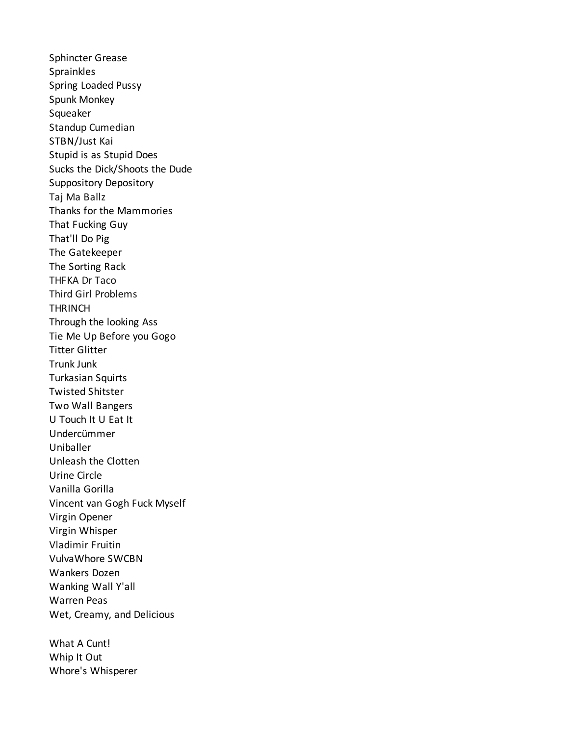**Sphincter Grease** Sprainkles Spring Loaded Pussy Spunk Monkey Squeaker Standup Cumedian STBN/Just Kai Stupid is as Stupid Does Sucks the Dick/Shoots the Dude **Suppository Depository** Taj Ma Ballz Thanks for the Mammories That Fucking Guy That'll Do Pig The Gatekeeper The Sorting Rack THFKA Dr Taco **Third Girl Problems THRINCH** Through the looking Ass Tie Me Up Before you Gogo **Titter Glitter Trunk Junk Turkasian Squirts Twisted Shitster Two Wall Bangers** U Touch It U Eat It **Undercümmer** Uniballer Unleash the Clotten Urine Circle Vanilla Gorilla Vincent van Gogh Fuck Myself Virgin Opener Virgin Whisper **Vladimir Fruitin** VulvaWhore SWCBN Wankers Dozen Wanking Wall Y'all **Warren Peas** Wet, Creamy, and Delicious

What A Cunt! Whip It Out Whore's Whisperer